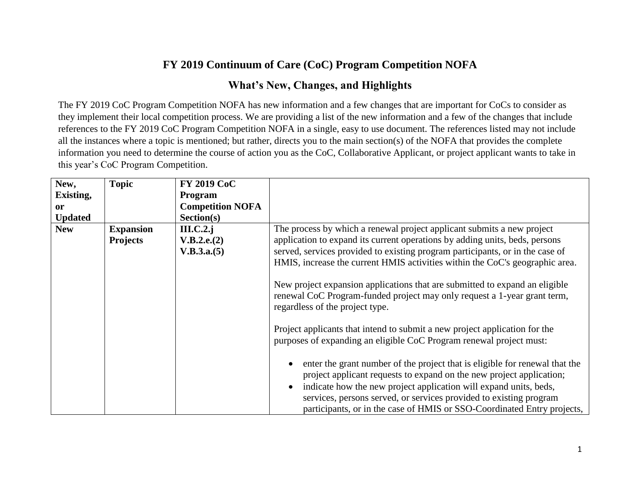## **FY 2019 Continuum of Care (CoC) Program Competition NOFA**

## **What's New, Changes, and Highlights**

The FY 2019 CoC Program Competition NOFA has new information and a few changes that are important for CoCs to consider as they implement their local competition process. We are providing a list of the new information and a few of the changes that include references to the FY 2019 CoC Program Competition NOFA in a single, easy to use document. The references listed may not include all the instances where a topic is mentioned; but rather, directs you to the main section(s) of the NOFA that provides the complete information you need to determine the course of action you as the CoC, Collaborative Applicant, or project applicant wants to take in this year's CoC Program Competition.

| New,           | <b>Topic</b>     | <b>FY 2019 CoC</b>      |                                                                                                                                                                                                                                                                                                                                                                           |
|----------------|------------------|-------------------------|---------------------------------------------------------------------------------------------------------------------------------------------------------------------------------------------------------------------------------------------------------------------------------------------------------------------------------------------------------------------------|
| Existing,      |                  | <b>Program</b>          |                                                                                                                                                                                                                                                                                                                                                                           |
| <sub>or</sub>  |                  | <b>Competition NOFA</b> |                                                                                                                                                                                                                                                                                                                                                                           |
| <b>Updated</b> |                  | Section(s)              |                                                                                                                                                                                                                                                                                                                                                                           |
| <b>New</b>     | <b>Expansion</b> | $III.C.2.$ j            | The process by which a renewal project applicant submits a new project                                                                                                                                                                                                                                                                                                    |
|                | <b>Projects</b>  | V.B.2.e.(2)             | application to expand its current operations by adding units, beds, persons                                                                                                                                                                                                                                                                                               |
|                |                  | V.B.3.a.(5)             | served, services provided to existing program participants, or in the case of                                                                                                                                                                                                                                                                                             |
|                |                  |                         | HMIS, increase the current HMIS activities within the CoC's geographic area.                                                                                                                                                                                                                                                                                              |
|                |                  |                         | New project expansion applications that are submitted to expand an eligible<br>renewal CoC Program-funded project may only request a 1-year grant term,<br>regardless of the project type.                                                                                                                                                                                |
|                |                  |                         | Project applicants that intend to submit a new project application for the<br>purposes of expanding an eligible CoC Program renewal project must:                                                                                                                                                                                                                         |
|                |                  |                         | enter the grant number of the project that is eligible for renewal that the<br>project applicant requests to expand on the new project application;<br>indicate how the new project application will expand units, beds,<br>services, persons served, or services provided to existing program<br>participants, or in the case of HMIS or SSO-Coordinated Entry projects, |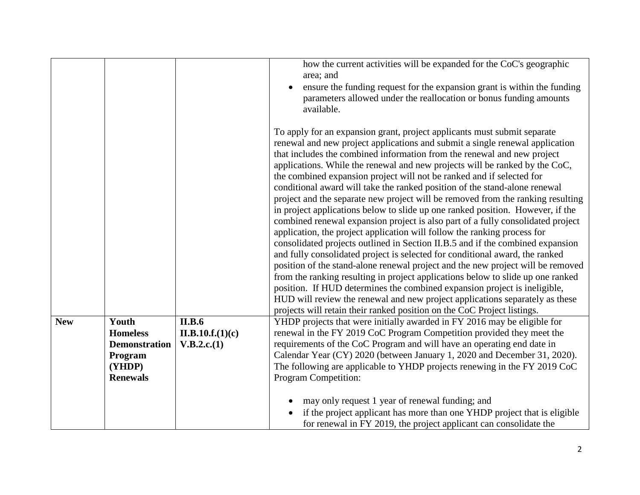|            |                                                                                          |                                                  | how the current activities will be expanded for the CoC's geographic<br>area; and<br>ensure the funding request for the expansion grant is within the funding<br>parameters allowed under the reallocation or bonus funding amounts<br>available.                                                                                                                                                                                                                                                                                                                                                                                                                                                                                                                                                                                                                                                                                                                                                                                                                                                                                                                                                                                                                                                                                                                                             |
|------------|------------------------------------------------------------------------------------------|--------------------------------------------------|-----------------------------------------------------------------------------------------------------------------------------------------------------------------------------------------------------------------------------------------------------------------------------------------------------------------------------------------------------------------------------------------------------------------------------------------------------------------------------------------------------------------------------------------------------------------------------------------------------------------------------------------------------------------------------------------------------------------------------------------------------------------------------------------------------------------------------------------------------------------------------------------------------------------------------------------------------------------------------------------------------------------------------------------------------------------------------------------------------------------------------------------------------------------------------------------------------------------------------------------------------------------------------------------------------------------------------------------------------------------------------------------------|
|            |                                                                                          |                                                  | To apply for an expansion grant, project applicants must submit separate<br>renewal and new project applications and submit a single renewal application<br>that includes the combined information from the renewal and new project<br>applications. While the renewal and new projects will be ranked by the CoC,<br>the combined expansion project will not be ranked and if selected for<br>conditional award will take the ranked position of the stand-alone renewal<br>project and the separate new project will be removed from the ranking resulting<br>in project applications below to slide up one ranked position. However, if the<br>combined renewal expansion project is also part of a fully consolidated project<br>application, the project application will follow the ranking process for<br>consolidated projects outlined in Section II.B.5 and if the combined expansion<br>and fully consolidated project is selected for conditional award, the ranked<br>position of the stand-alone renewal project and the new project will be removed<br>from the ranking resulting in project applications below to slide up one ranked<br>position. If HUD determines the combined expansion project is ineligible,<br>HUD will review the renewal and new project applications separately as these<br>projects will retain their ranked position on the CoC Project listings. |
| <b>New</b> | Youth<br><b>Homeless</b><br><b>Demonstration</b><br>Program<br>(YHDP)<br><b>Renewals</b> | <b>II.B.6</b><br>II.B.10.f.(1)(c)<br>V.B.2.c.(1) | YHDP projects that were initially awarded in FY 2016 may be eligible for<br>renewal in the FY 2019 CoC Program Competition provided they meet the<br>requirements of the CoC Program and will have an operating end date in<br>Calendar Year (CY) 2020 (between January 1, 2020 and December 31, 2020).<br>The following are applicable to YHDP projects renewing in the FY 2019 CoC<br>Program Competition:<br>may only request 1 year of renewal funding; and<br>if the project applicant has more than one YHDP project that is eligible                                                                                                                                                                                                                                                                                                                                                                                                                                                                                                                                                                                                                                                                                                                                                                                                                                                   |
|            |                                                                                          |                                                  | for renewal in FY 2019, the project applicant can consolidate the                                                                                                                                                                                                                                                                                                                                                                                                                                                                                                                                                                                                                                                                                                                                                                                                                                                                                                                                                                                                                                                                                                                                                                                                                                                                                                                             |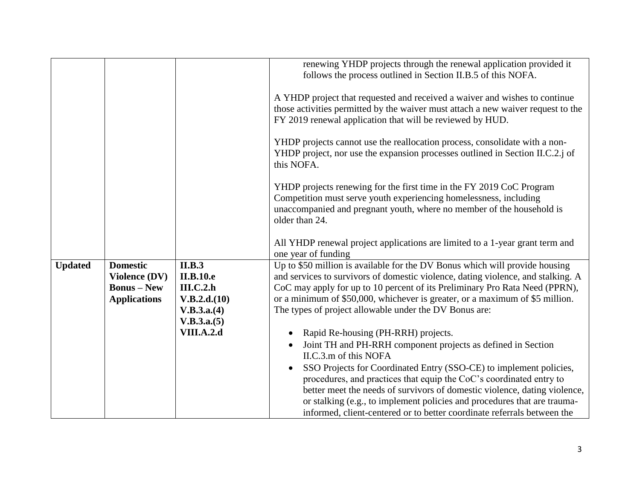|                |                      |                   | renewing YHDP projects through the renewal application provided it<br>follows the process outlined in Section II.B.5 of this NOFA.                                                                                                   |
|----------------|----------------------|-------------------|--------------------------------------------------------------------------------------------------------------------------------------------------------------------------------------------------------------------------------------|
|                |                      |                   | A YHDP project that requested and received a waiver and wishes to continue<br>those activities permitted by the waiver must attach a new waiver request to the<br>FY 2019 renewal application that will be reviewed by HUD.          |
|                |                      |                   | YHDP projects cannot use the reallocation process, consolidate with a non-<br>YHDP project, nor use the expansion processes outlined in Section II.C.2.j of<br>this NOFA.                                                            |
|                |                      |                   | YHDP projects renewing for the first time in the FY 2019 CoC Program<br>Competition must serve youth experiencing homelessness, including<br>unaccompanied and pregnant youth, where no member of the household is<br>older than 24. |
|                |                      |                   | All YHDP renewal project applications are limited to a 1-year grant term and<br>one year of funding                                                                                                                                  |
| <b>Updated</b> | <b>Domestic</b>      | <b>II.B.3</b>     | Up to \$50 million is available for the DV Bonus which will provide housing                                                                                                                                                          |
|                | <b>Violence (DV)</b> | <b>II.B.10.e</b>  | and services to survivors of domestic violence, dating violence, and stalking. A                                                                                                                                                     |
|                | <b>Bonus</b> – New   | III.C.2.h         | CoC may apply for up to 10 percent of its Preliminary Pro Rata Need (PPRN),                                                                                                                                                          |
|                | <b>Applications</b>  | V.B.2.d.(10)      | or a minimum of \$50,000, whichever is greater, or a maximum of \$5 million.                                                                                                                                                         |
|                |                      | V.B.3.a.(4)       | The types of project allowable under the DV Bonus are:                                                                                                                                                                               |
|                |                      | V.B.3.a.(5)       |                                                                                                                                                                                                                                      |
|                |                      | <b>VIII.A.2.d</b> | Rapid Re-housing (PH-RRH) projects.                                                                                                                                                                                                  |
|                |                      |                   | Joint TH and PH-RRH component projects as defined in Section                                                                                                                                                                         |
|                |                      |                   | II.C.3.m of this NOFA                                                                                                                                                                                                                |
|                |                      |                   | SSO Projects for Coordinated Entry (SSO-CE) to implement policies,                                                                                                                                                                   |
|                |                      |                   | procedures, and practices that equip the CoC's coordinated entry to                                                                                                                                                                  |
|                |                      |                   | better meet the needs of survivors of domestic violence, dating violence,                                                                                                                                                            |
|                |                      |                   | or stalking (e.g., to implement policies and procedures that are trauma-                                                                                                                                                             |
|                |                      |                   | informed, client-centered or to better coordinate referrals between the                                                                                                                                                              |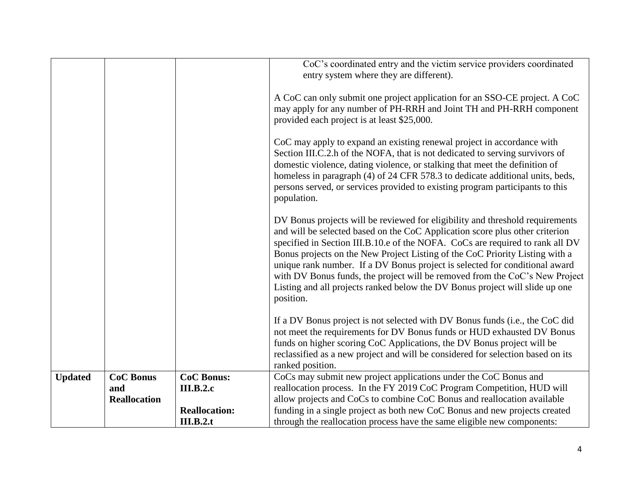|                |                     |                      | CoC's coordinated entry and the victim service providers coordinated<br>entry system where they are different).                                                                                                                                                                                                                                                                                                                                                                                                                                                                           |
|----------------|---------------------|----------------------|-------------------------------------------------------------------------------------------------------------------------------------------------------------------------------------------------------------------------------------------------------------------------------------------------------------------------------------------------------------------------------------------------------------------------------------------------------------------------------------------------------------------------------------------------------------------------------------------|
|                |                     |                      | A CoC can only submit one project application for an SSO-CE project. A CoC<br>may apply for any number of PH-RRH and Joint TH and PH-RRH component<br>provided each project is at least \$25,000.                                                                                                                                                                                                                                                                                                                                                                                         |
|                |                     |                      | CoC may apply to expand an existing renewal project in accordance with<br>Section III.C.2.h of the NOFA, that is not dedicated to serving survivors of<br>domestic violence, dating violence, or stalking that meet the definition of<br>homeless in paragraph (4) of 24 CFR 578.3 to dedicate additional units, beds,<br>persons served, or services provided to existing program participants to this<br>population.                                                                                                                                                                    |
|                |                     |                      | DV Bonus projects will be reviewed for eligibility and threshold requirements<br>and will be selected based on the CoC Application score plus other criterion<br>specified in Section III.B.10.e of the NOFA. CoCs are required to rank all DV<br>Bonus projects on the New Project Listing of the CoC Priority Listing with a<br>unique rank number. If a DV Bonus project is selected for conditional award<br>with DV Bonus funds, the project will be removed from the CoC's New Project<br>Listing and all projects ranked below the DV Bonus project will slide up one<br>position. |
|                |                     |                      | If a DV Bonus project is not selected with DV Bonus funds (i.e., the CoC did<br>not meet the requirements for DV Bonus funds or HUD exhausted DV Bonus<br>funds on higher scoring CoC Applications, the DV Bonus project will be<br>reclassified as a new project and will be considered for selection based on its<br>ranked position.                                                                                                                                                                                                                                                   |
| <b>Updated</b> | <b>CoC Bonus</b>    | <b>CoC Bonus:</b>    | CoCs may submit new project applications under the CoC Bonus and                                                                                                                                                                                                                                                                                                                                                                                                                                                                                                                          |
|                | and                 | <b>III.B.2.c</b>     | reallocation process. In the FY 2019 CoC Program Competition, HUD will                                                                                                                                                                                                                                                                                                                                                                                                                                                                                                                    |
|                | <b>Reallocation</b> |                      | allow projects and CoCs to combine CoC Bonus and reallocation available                                                                                                                                                                                                                                                                                                                                                                                                                                                                                                                   |
|                |                     | <b>Reallocation:</b> | funding in a single project as both new CoC Bonus and new projects created                                                                                                                                                                                                                                                                                                                                                                                                                                                                                                                |
|                |                     | III.B.2.t            | through the reallocation process have the same eligible new components:                                                                                                                                                                                                                                                                                                                                                                                                                                                                                                                   |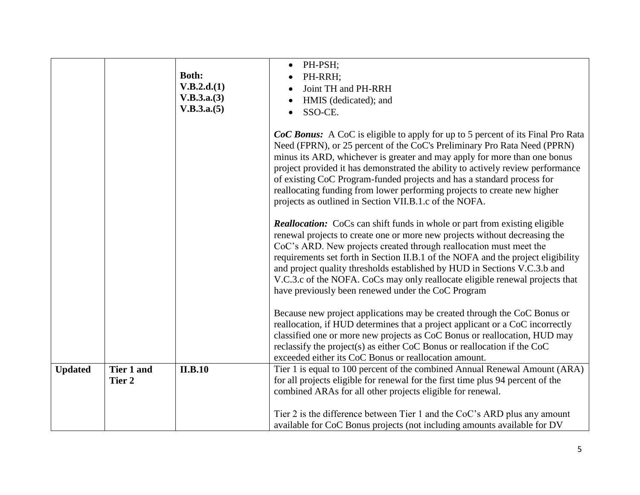|                |                      | <b>Both:</b><br>V.B.2.d.(1)<br>V.B.3.a.(3)<br>V.B.3.a.(5) | PH-PSH;<br>PH-RRH;<br>Joint TH and PH-RRH<br>HMIS (dedicated); and<br>SSO-CE.<br><b>CoC Bonus:</b> A CoC is eligible to apply for up to 5 percent of its Final Pro Rata<br>Need (FPRN), or 25 percent of the CoC's Preliminary Pro Rata Need (PPRN)<br>minus its ARD, whichever is greater and may apply for more than one bonus                                                                                                                                                                                                             |
|----------------|----------------------|-----------------------------------------------------------|----------------------------------------------------------------------------------------------------------------------------------------------------------------------------------------------------------------------------------------------------------------------------------------------------------------------------------------------------------------------------------------------------------------------------------------------------------------------------------------------------------------------------------------------|
|                |                      |                                                           | project provided it has demonstrated the ability to actively review performance<br>of existing CoC Program-funded projects and has a standard process for<br>reallocating funding from lower performing projects to create new higher<br>projects as outlined in Section VII.B.1.c of the NOFA.                                                                                                                                                                                                                                              |
|                |                      |                                                           | <b>Reallocation:</b> CoCs can shift funds in whole or part from existing eligible<br>renewal projects to create one or more new projects without decreasing the<br>CoC's ARD. New projects created through reallocation must meet the<br>requirements set forth in Section II.B.1 of the NOFA and the project eligibility<br>and project quality thresholds established by HUD in Sections V.C.3.b and<br>V.C.3.c of the NOFA. CoCs may only reallocate eligible renewal projects that<br>have previously been renewed under the CoC Program |
|                |                      |                                                           | Because new project applications may be created through the CoC Bonus or<br>reallocation, if HUD determines that a project applicant or a CoC incorrectly<br>classified one or more new projects as CoC Bonus or reallocation, HUD may<br>reclassify the project(s) as either CoC Bonus or reallocation if the CoC<br>exceeded either its CoC Bonus or reallocation amount.                                                                                                                                                                  |
| <b>Updated</b> | Tier 1 and<br>Tier 2 | <b>II.B.10</b>                                            | Tier 1 is equal to 100 percent of the combined Annual Renewal Amount (ARA)<br>for all projects eligible for renewal for the first time plus 94 percent of the                                                                                                                                                                                                                                                                                                                                                                                |
|                |                      |                                                           | combined ARAs for all other projects eligible for renewal.                                                                                                                                                                                                                                                                                                                                                                                                                                                                                   |
|                |                      |                                                           | Tier 2 is the difference between Tier 1 and the CoC's ARD plus any amount<br>available for CoC Bonus projects (not including amounts available for DV                                                                                                                                                                                                                                                                                                                                                                                        |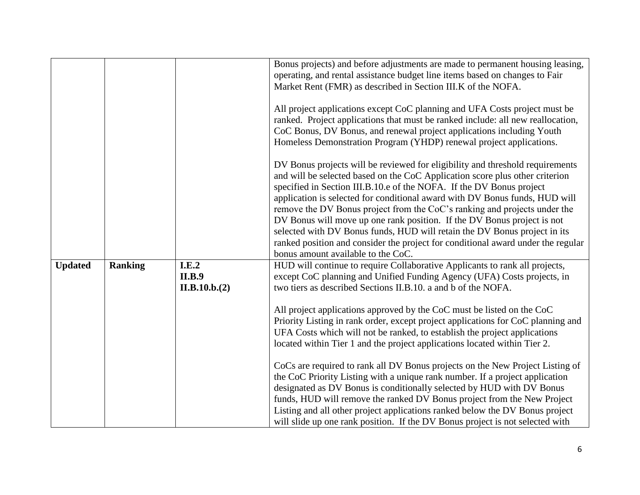|                |                |               | Bonus projects) and before adjustments are made to permanent housing leasing,    |
|----------------|----------------|---------------|----------------------------------------------------------------------------------|
|                |                |               | operating, and rental assistance budget line items based on changes to Fair      |
|                |                |               | Market Rent (FMR) as described in Section III.K of the NOFA.                     |
|                |                |               |                                                                                  |
|                |                |               | All project applications except CoC planning and UFA Costs project must be       |
|                |                |               | ranked. Project applications that must be ranked include: all new reallocation,  |
|                |                |               | CoC Bonus, DV Bonus, and renewal project applications including Youth            |
|                |                |               | Homeless Demonstration Program (YHDP) renewal project applications.              |
|                |                |               | DV Bonus projects will be reviewed for eligibility and threshold requirements    |
|                |                |               | and will be selected based on the CoC Application score plus other criterion     |
|                |                |               | specified in Section III.B.10.e of the NOFA. If the DV Bonus project             |
|                |                |               | application is selected for conditional award with DV Bonus funds, HUD will      |
|                |                |               | remove the DV Bonus project from the CoC's ranking and projects under the        |
|                |                |               | DV Bonus will move up one rank position. If the DV Bonus project is not          |
|                |                |               | selected with DV Bonus funds, HUD will retain the DV Bonus project in its        |
|                |                |               | ranked position and consider the project for conditional award under the regular |
|                |                |               | bonus amount available to the CoC.                                               |
| <b>Updated</b> | <b>Ranking</b> | I.E.2         | HUD will continue to require Collaborative Applicants to rank all projects,      |
|                |                | <b>II.B.9</b> | except CoC planning and Unified Funding Agency (UFA) Costs projects, in          |
|                |                | II.B.10.b.(2) | two tiers as described Sections II.B.10. a and b of the NOFA.                    |
|                |                |               |                                                                                  |
|                |                |               | All project applications approved by the CoC must be listed on the CoC           |
|                |                |               | Priority Listing in rank order, except project applications for CoC planning and |
|                |                |               | UFA Costs which will not be ranked, to establish the project applications        |
|                |                |               | located within Tier 1 and the project applications located within Tier 2.        |
|                |                |               |                                                                                  |
|                |                |               | CoCs are required to rank all DV Bonus projects on the New Project Listing of    |
|                |                |               | the CoC Priority Listing with a unique rank number. If a project application     |
|                |                |               | designated as DV Bonus is conditionally selected by HUD with DV Bonus            |
|                |                |               | funds, HUD will remove the ranked DV Bonus project from the New Project          |
|                |                |               | Listing and all other project applications ranked below the DV Bonus project     |
|                |                |               | will slide up one rank position. If the DV Bonus project is not selected with    |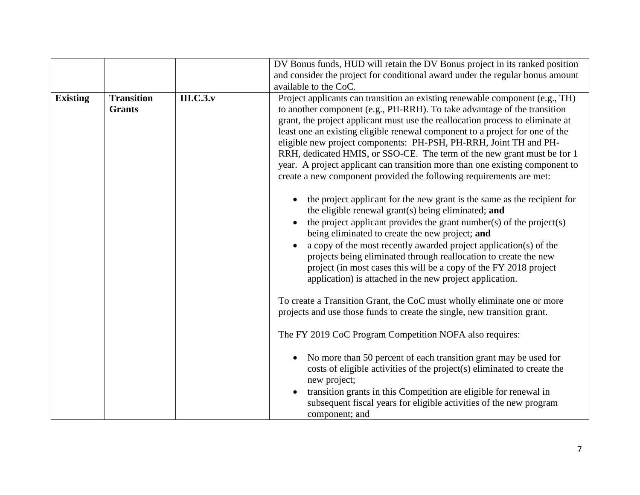|                                    |                  | DV Bonus funds, HUD will retain the DV Bonus project in its ranked position<br>and consider the project for conditional award under the regular bonus amount<br>available to the CoC.                                                                                                                                                                                                                                                                                                                                                                                                                                             |
|------------------------------------|------------------|-----------------------------------------------------------------------------------------------------------------------------------------------------------------------------------------------------------------------------------------------------------------------------------------------------------------------------------------------------------------------------------------------------------------------------------------------------------------------------------------------------------------------------------------------------------------------------------------------------------------------------------|
| <b>Transition</b><br><b>Grants</b> | <b>III.C.3.v</b> | Project applicants can transition an existing renewable component (e.g., TH)<br>to another component (e.g., PH-RRH). To take advantage of the transition<br>grant, the project applicant must use the reallocation process to eliminate at<br>least one an existing eligible renewal component to a project for one of the<br>eligible new project components: PH-PSH, PH-RRH, Joint TH and PH-<br>RRH, dedicated HMIS, or SSO-CE. The term of the new grant must be for 1<br>year. A project applicant can transition more than one existing component to<br>create a new component provided the following requirements are met: |
|                                    |                  | the project applicant for the new grant is the same as the recipient for<br>the eligible renewal grant(s) being eliminated; and<br>the project applicant provides the grant number(s) of the project(s)<br>being eliminated to create the new project; and<br>a copy of the most recently awarded project application(s) of the<br>projects being eliminated through reallocation to create the new<br>project (in most cases this will be a copy of the FY 2018 project<br>application) is attached in the new project application.                                                                                              |
|                                    |                  | To create a Transition Grant, the CoC must wholly eliminate one or more<br>projects and use those funds to create the single, new transition grant.<br>The FY 2019 CoC Program Competition NOFA also requires:                                                                                                                                                                                                                                                                                                                                                                                                                    |
|                                    |                  | No more than 50 percent of each transition grant may be used for<br>costs of eligible activities of the project(s) eliminated to create the<br>new project;<br>transition grants in this Competition are eligible for renewal in<br>subsequent fiscal years for eligible activities of the new program<br>component; and                                                                                                                                                                                                                                                                                                          |
|                                    |                  |                                                                                                                                                                                                                                                                                                                                                                                                                                                                                                                                                                                                                                   |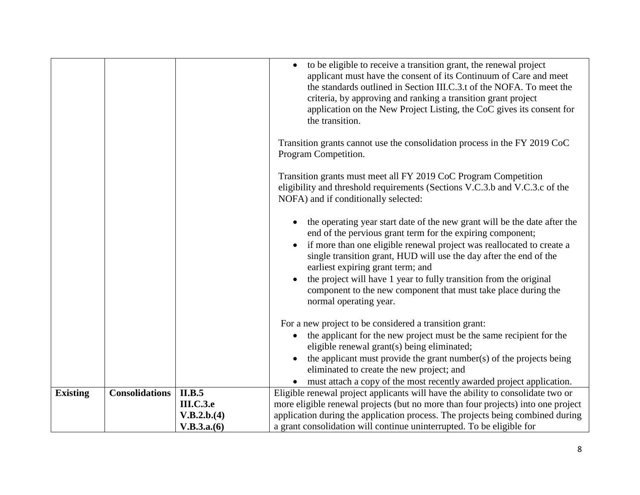|                 |                       |                  | to be eligible to receive a transition grant, the renewal project<br>applicant must have the consent of its Continuum of Care and meet<br>the standards outlined in Section III.C.3.t of the NOFA. To meet the<br>criteria, by approving and ranking a transition grant project<br>application on the New Project Listing, the CoC gives its consent for<br>the transition.                                                                                                                                |
|-----------------|-----------------------|------------------|------------------------------------------------------------------------------------------------------------------------------------------------------------------------------------------------------------------------------------------------------------------------------------------------------------------------------------------------------------------------------------------------------------------------------------------------------------------------------------------------------------|
|                 |                       |                  | Transition grants cannot use the consolidation process in the FY 2019 CoC<br>Program Competition.                                                                                                                                                                                                                                                                                                                                                                                                          |
|                 |                       |                  | Transition grants must meet all FY 2019 CoC Program Competition<br>eligibility and threshold requirements (Sections V.C.3.b and V.C.3.c of the<br>NOFA) and if conditionally selected:                                                                                                                                                                                                                                                                                                                     |
|                 |                       |                  | the operating year start date of the new grant will be the date after the<br>end of the pervious grant term for the expiring component;<br>if more than one eligible renewal project was reallocated to create a<br>$\bullet$<br>single transition grant, HUD will use the day after the end of the<br>earliest expiring grant term; and<br>the project will have 1 year to fully transition from the original<br>component to the new component that must take place during the<br>normal operating year. |
|                 |                       |                  | For a new project to be considered a transition grant:<br>the applicant for the new project must be the same recipient for the                                                                                                                                                                                                                                                                                                                                                                             |
|                 |                       |                  | eligible renewal grant(s) being eliminated;<br>the applicant must provide the grant number(s) of the projects being                                                                                                                                                                                                                                                                                                                                                                                        |
|                 |                       |                  | eliminated to create the new project; and<br>must attach a copy of the most recently awarded project application.                                                                                                                                                                                                                                                                                                                                                                                          |
| <b>Existing</b> | <b>Consolidations</b> | II.B.5           | Eligible renewal project applicants will have the ability to consolidate two or                                                                                                                                                                                                                                                                                                                                                                                                                            |
|                 |                       | <b>III.C.3.e</b> | more eligible renewal projects (but no more than four projects) into one project                                                                                                                                                                                                                                                                                                                                                                                                                           |
|                 |                       | V.B.2.b.(4)      | application during the application process. The projects being combined during                                                                                                                                                                                                                                                                                                                                                                                                                             |
|                 |                       | V.B.3.a.(6)      | a grant consolidation will continue uninterrupted. To be eligible for                                                                                                                                                                                                                                                                                                                                                                                                                                      |